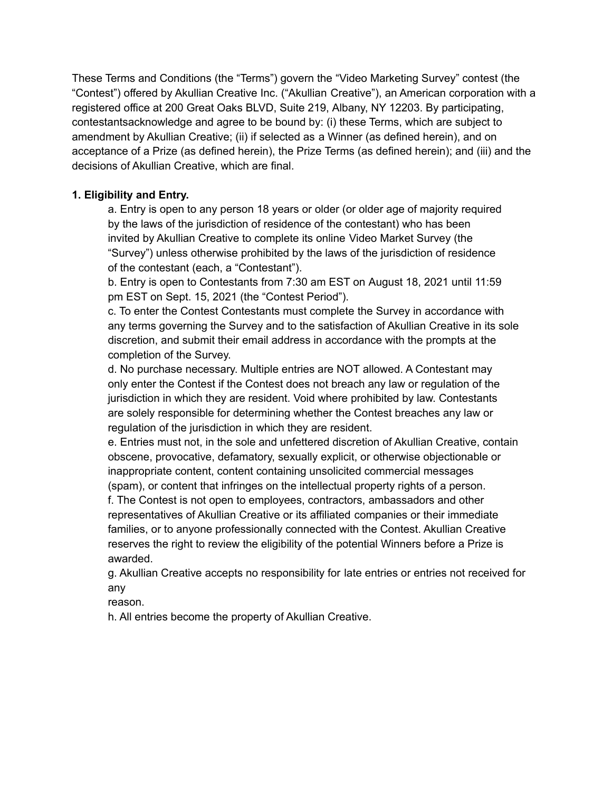These Terms and Conditions (the "Terms") govern the "Video Marketing Survey" contest (the "Contest") offered by Akullian Creative Inc. ("Akullian Creative"), an American corporation with a registered office at 200 Great Oaks BLVD, Suite 219, Albany, NY 12203. By participating, contestantsacknowledge and agree to be bound by: (i) these Terms, which are subject to amendment by Akullian Creative; (ii) if selected as a Winner (as defined herein), and on acceptance of a Prize (as defined herein), the Prize Terms (as defined herein); and (iii) and the decisions of Akullian Creative, which are final.

# **1. Eligibility and Entry.**

a. Entry is open to any person 18 years or older (or older age of majority required by the laws of the jurisdiction of residence of the contestant) who has been invited by Akullian Creative to complete its online Video Market Survey (the "Survey") unless otherwise prohibited by the laws of the jurisdiction of residence of the contestant (each, a "Contestant").

b. Entry is open to Contestants from 7:30 am EST on August 18, 2021 until 11:59 pm EST on Sept. 15, 2021 (the "Contest Period").

c. To enter the Contest Contestants must complete the Survey in accordance with any terms governing the Survey and to the satisfaction of Akullian Creative in its sole discretion, and submit their email address in accordance with the prompts at the completion of the Survey.

d. No purchase necessary. Multiple entries are NOT allowed. A Contestant may only enter the Contest if the Contest does not breach any law or regulation of the jurisdiction in which they are resident. Void where prohibited by law. Contestants are solely responsible for determining whether the Contest breaches any law or regulation of the jurisdiction in which they are resident.

e. Entries must not, in the sole and unfettered discretion of Akullian Creative, contain obscene, provocative, defamatory, sexually explicit, or otherwise objectionable or inappropriate content, content containing unsolicited commercial messages

(spam), or content that infringes on the intellectual property rights of a person. f. The Contest is not open to employees, contractors, ambassadors and other representatives of Akullian Creative or its affiliated companies or their immediate families, or to anyone professionally connected with the Contest. Akullian Creative reserves the right to review the eligibility of the potential Winners before a Prize is awarded.

g. Akullian Creative accepts no responsibility for late entries or entries not received for any

reason.

h. All entries become the property of Akullian Creative.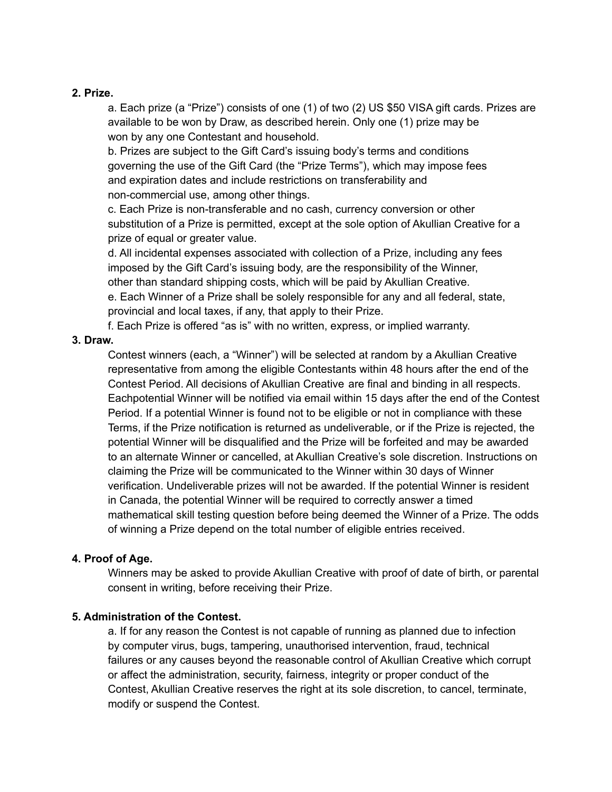#### **2. Prize.**

a. Each prize (a "Prize") consists of one (1) of two (2) US \$50 VISA gift cards. Prizes are available to be won by Draw, as described herein. Only one (1) prize may be won by any one Contestant and household.

b. Prizes are subject to the Gift Card's issuing body's terms and conditions governing the use of the Gift Card (the "Prize Terms"), which may impose fees and expiration dates and include restrictions on transferability and non-commercial use, among other things.

c. Each Prize is non-transferable and no cash, currency conversion or other substitution of a Prize is permitted, except at the sole option of Akullian Creative for a prize of equal or greater value.

d. All incidental expenses associated with collection of a Prize, including any fees imposed by the Gift Card's issuing body, are the responsibility of the Winner, other than standard shipping costs, which will be paid by Akullian Creative.

e. Each Winner of a Prize shall be solely responsible for any and all federal, state, provincial and local taxes, if any, that apply to their Prize.

f. Each Prize is offered "as is" with no written, express, or implied warranty.

#### **3. Draw.**

Contest winners (each, a "Winner") will be selected at random by a Akullian Creative representative from among the eligible Contestants within 48 hours after the end of the Contest Period. All decisions of Akullian Creative are final and binding in all respects. Eachpotential Winner will be notified via email within 15 days after the end of the Contest Period. If a potential Winner is found not to be eligible or not in compliance with these Terms, if the Prize notification is returned as undeliverable, or if the Prize is rejected, the potential Winner will be disqualified and the Prize will be forfeited and may be awarded to an alternate Winner or cancelled, at Akullian Creative's sole discretion. Instructions on claiming the Prize will be communicated to the Winner within 30 days of Winner verification. Undeliverable prizes will not be awarded. If the potential Winner is resident in Canada, the potential Winner will be required to correctly answer a timed mathematical skill testing question before being deemed the Winner of a Prize. The odds of winning a Prize depend on the total number of eligible entries received.

### **4. Proof of Age.**

Winners may be asked to provide Akullian Creative with proof of date of birth, or parental consent in writing, before receiving their Prize.

### **5. Administration of the Contest.**

a. If for any reason the Contest is not capable of running as planned due to infection by computer virus, bugs, tampering, unauthorised intervention, fraud, technical failures or any causes beyond the reasonable control of Akullian Creative which corrupt or affect the administration, security, fairness, integrity or proper conduct of the Contest, Akullian Creative reserves the right at its sole discretion, to cancel, terminate, modify or suspend the Contest.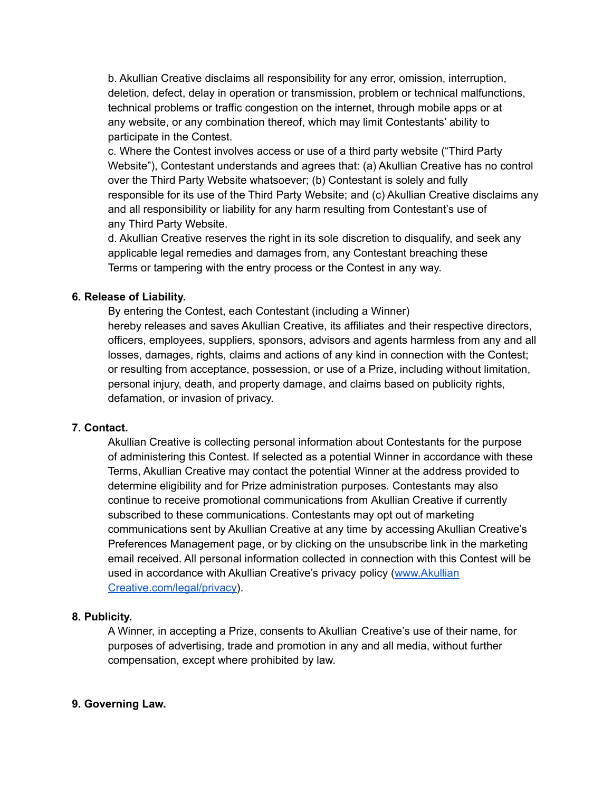b. Akullian Creative disclaims all responsibility for any error, omission, interruption, deletion, defect, delay in operation or transmission, problem or technical malfunctions, technical problems or traffic congestion on the internet, through mobile apps or at any website, or any combination thereof, which may limit Contestants' ability to participate in the Contest.

c. Where the Contest involves access or use of a third party website ("Third Party Website"), Contestant understands and agrees that: (a) Akullian Creative has no control over the Third Party Website whatsoever; (b) Contestant is solely and fully responsible for its use of the Third Party Website; and (c) Akullian Creative disclaims any and all responsibility or liability for any harm resulting from Contestant's use of any Third Party Website.

d. Akullian Creative reserves the right in its sole discretion to disqualify, and seek any applicable legal remedies and damages from, any Contestant breaching these Terms or tampering with the entry process or the Contest in any way.

### **6. Release of Liability.**

By entering the Contest, each Contestant (including a Winner) hereby releases and saves Akullian Creative, its affiliates and their respective directors, officers, employees, suppliers, sponsors, advisors and agents harmless from any and all losses, damages, rights, claims and actions of any kind in connection with the Contest; or resulting from acceptance, possession, or use of a Prize, including without limitation, personal injury, death, and property damage, and claims based on publicity rights, defamation, or invasion of privacy.

### **7. Contact.**

Akullian Creative is collecting personal information about Contestants for the purpose of administering this Contest. If selected as a potential Winner in accordance with these Terms, Akullian Creative may contact the potential Winner at the address provided to determine eligibility and for Prize administration purposes. Contestants may also continue to receive promotional communications from Akullian Creative if currently subscribed to these communications. Contestants may opt out of marketing communications sent by Akullian Creative at any time by accessing Akullian Creative's Preferences Management page, or by clicking on the unsubscribe link in the marketing email received. All personal information collected in connection with this Contest will be used in accordance with Akullian Creative's privacy policy ([www.Akullian](http://www.hootsuite.com/legal/privacy) [Creative.com/legal/privacy\)](http://www.hootsuite.com/legal/privacy).

### **8. Publicity.**

A Winner, in accepting a Prize, consents to Akullian Creative's use of their name, for purposes of advertising, trade and promotion in any and all media, without further compensation, except where prohibited by law.

## **9. Governing Law.**